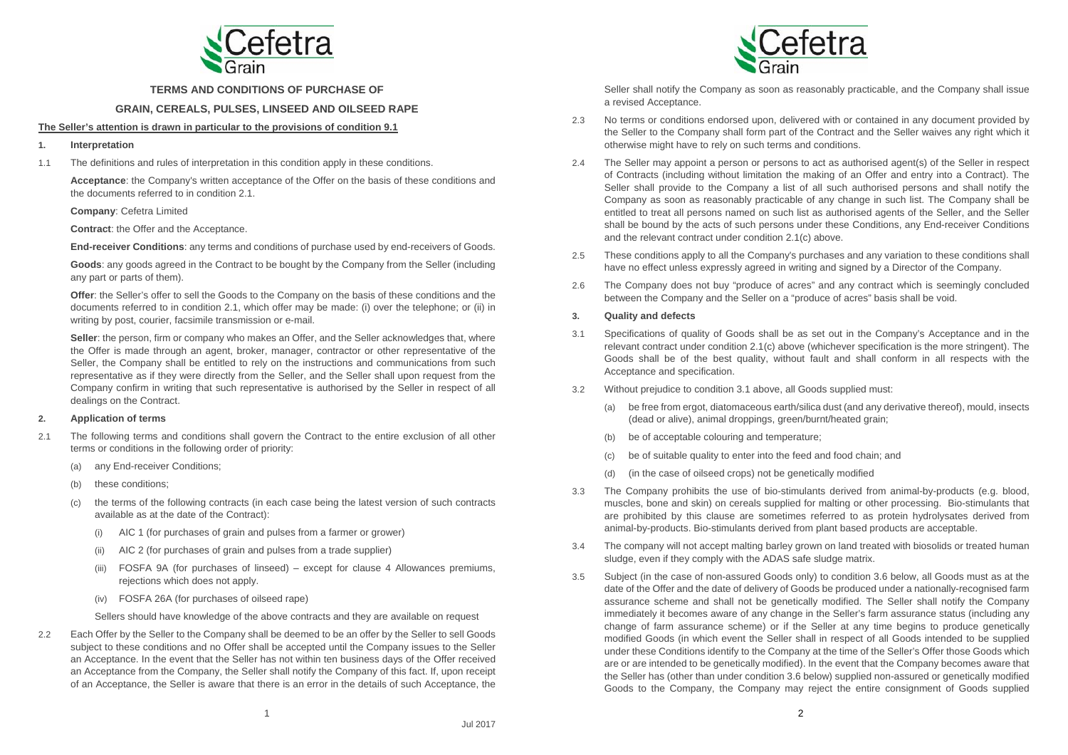

**TERMS AND CONDITIONS OF PURCHASE OF** 

## **GRAIN, CEREALS, PULSES, LINSEED AND OILSEED RAPE**

# **The Seller's attention is drawn in particular to the provisions of condition 9.1**

- **1. Interpretation**
- 1.1 The definitions and rules of interpretation in this condition apply in these conditions.

**Acceptance**: the Company's written acceptance of the Offer on the basis of these conditions and the documents referred to in condition 2.1.

**Company**: Cefetra Limited

**Contract**: the Offer and the Acceptance.

**End-receiver Conditions**: any terms and conditions of purchase used by end-receivers of Goods.

**Goods**: any goods agreed in the Contract to be bought by the Company from the Seller (including any part or parts of them).

**Offer**: the Seller's offer to sell the Goods to the Company on the basis of these conditions and the documents referred to in condition 2.1, which offer may be made: (i) over the telephone; or (ii) in writing by post, courier, facsimile transmission or e-mail.

**Seller**: the person, firm or company who makes an Offer, and the Seller acknowledges that, where the Offer is made through an agent, broker, manager, contractor or other representative of the Seller, the Company shall be entitled to rely on the instructions and communications from such representative as if they were directly from the Seller, and the Seller shall upon request from the Company confirm in writing that such representative is authorised by the Seller in respect of all dealings on the Contract.

## **2. Application of terms**

- 2.1 The following terms and conditions shall govern the Contract to the entire exclusion of all other terms or conditions in the following order of priority:
	- (a) any End-receiver Conditions:
	- (b) these conditions;
	- (c) the terms of the following contracts (in each case being the latest version of such contracts available as at the date of the Contract):
		- (i) AIC 1 (for purchases of grain and pulses from a farmer or grower)
		- (ii) AIC 2 (for purchases of grain and pulses from a trade supplier)
		- (iii) FOSFA 9A (for purchases of linseed) except for clause 4 Allowances premiums, rejections which does not apply.
		- (iv) FOSFA 26A (for purchases of oilseed rape)

Sellers should have knowledge of the above contracts and they are available on request

2.2 Each Offer by the Seller to the Company shall be deemed to be an offer by the Seller to sell Goods subject to these conditions and no Offer shall be accepted until the Company issues to the Seller an Acceptance. In the event that the Seller has not within ten business days of the Offer received an Acceptance from the Company, the Seller shall notify the Company of this fact. If, upon receipt of an Acceptance, the Seller is aware that there is an error in the details of such Acceptance, the



Seller shall notify the Company as soon as reasonably practicable, and the Company shall issue a revised Acceptance.

- 2.3 No terms or conditions endorsed upon, delivered with or contained in any document provided by the Seller to the Company shall form part of the Contract and the Seller waives any right which it otherwise might have to rely on such terms and conditions.
- 2.4 The Seller may appoint a person or persons to act as authorised agent(s) of the Seller in respect of Contracts (including without limitation the making of an Offer and entry into a Contract). The Seller shall provide to the Company a list of all such authorised persons and shall notify the Company as soon as reasonably practicable of any change in such list. The Company shall be entitled to treat all persons named on such list as authorised agents of the Seller, and the Seller shall be bound by the acts of such persons under these Conditions, any End-receiver Conditions and the relevant contract under condition 2.1(c) above.
- 2.5 These conditions apply to all the Company's purchases and any variation to these conditions shall have no effect unless expressly agreed in writing and signed by a Director of the Company.
- 2.6 The Company does not buy "produce of acres" and any contract which is seemingly concluded between the Company and the Seller on a "produce of acres" basis shall be void.

## **3. Quality and defects**

- 3.1 Specifications of quality of Goods shall be as set out in the Company's Acceptance and in the relevant contract under condition 2.1(c) above (whichever specification is the more stringent). The Goods shall be of the best quality, without fault and shall conform in all respects with the Acceptance and specification.
- 3.2 Without prejudice to condition 3.1 above, all Goods supplied must:
	- (a) be free from ergot, diatomaceous earth/silica dust (and any derivative thereof), mould, insects (dead or alive), animal droppings, green/burnt/heated grain;
	- (b) be of acceptable colouring and temperature;
	- (c) be of suitable quality to enter into the feed and food chain; and
	- (d) (in the case of oilseed crops) not be genetically modified
- 3.3 The Company prohibits the use of bio-stimulants derived from animal-by-products (e.g. blood, muscles, bone and skin) on cereals supplied for malting or other processing. Bio-stimulants that are prohibited by this clause are sometimes referred to as protein hydrolysates derived from animal-by-products. Bio-stimulants derived from plant based products are acceptable.
- 3.4 The company will not accept malting barley grown on land treated with biosolids or treated human sludge, even if they comply with the ADAS safe sludge matrix.
- 3.5 Subject (in the case of non-assured Goods only) to condition 3.6 below, all Goods must as at the date of the Offer and the date of delivery of Goods be produced under a nationally-recognised farm assurance scheme and shall not be genetically modified. The Seller shall notify the Company immediately it becomes aware of any change in the Seller's farm assurance status (including any change of farm assurance scheme) or if the Seller at any time begins to produce genetically modified Goods (in which event the Seller shall in respect of all Goods intended to be supplied under these Conditions identify to the Company at the time of the Seller's Offer those Goods which are or are intended to be genetically modified). In the event that the Company becomes aware that the Seller has (other than under condition 3.6 below) supplied non-assured or genetically modified Goods to the Company, the Company may reject the entire consignment of Goods supplied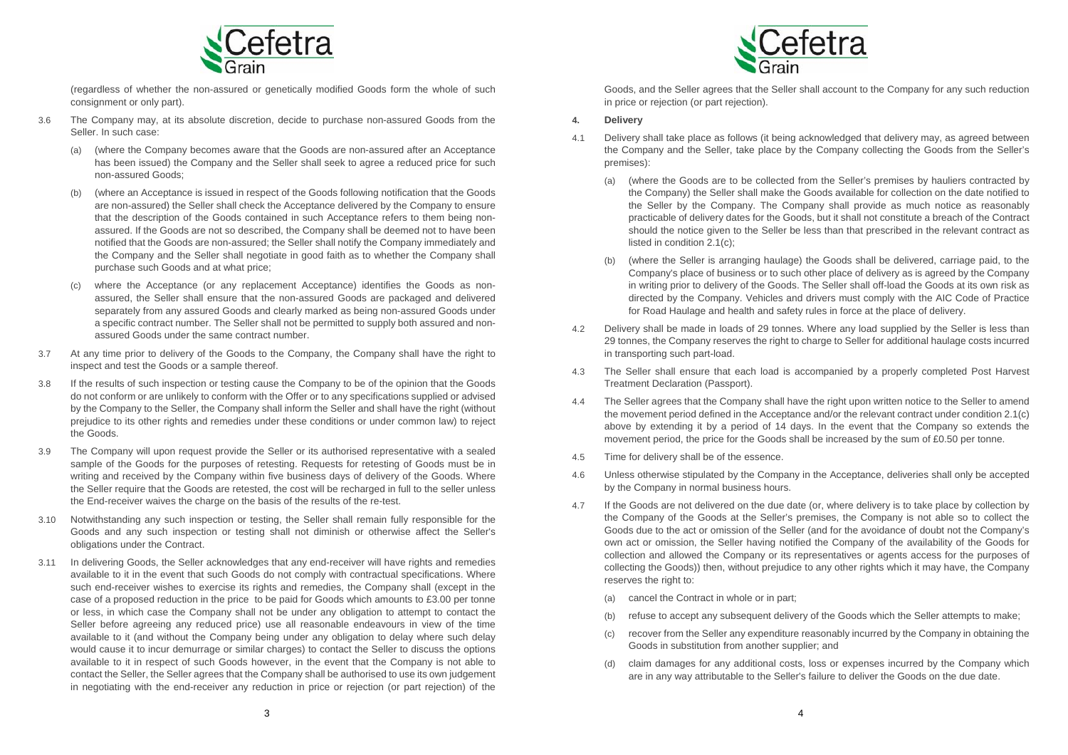

(regardless of whether the non-assured or genetically modified Goods form the whole of such consignment or only part).

- 3.6 The Company may, at its absolute discretion, decide to purchase non-assured Goods from the Seller. In such case:
	- (a) (where the Company becomes aware that the Goods are non-assured after an Acceptance has been issued) the Company and the Seller shall seek to agree a reduced price for such non-assured Goods;
	- (b) (where an Acceptance is issued in respect of the Goods following notification that the Goods are non-assured) the Seller shall check the Acceptance delivered by the Company to ensure that the description of the Goods contained in such Acceptance refers to them being nonassured. If the Goods are not so described, the Company shall be deemed not to have been notified that the Goods are non-assured; the Seller shall notify the Company immediately and the Company and the Seller shall negotiate in good faith as to whether the Company shall purchase such Goods and at what price;
	- (c) where the Acceptance (or any replacement Acceptance) identifies the Goods as nonassured, the Seller shall ensure that the non-assured Goods are packaged and delivered separately from any assured Goods and clearly marked as being non-assured Goods under a specific contract number. The Seller shall not be permitted to supply both assured and nonassured Goods under the same contract number.
- 3.7 At any time prior to delivery of the Goods to the Company, the Company shall have the right to inspect and test the Goods or a sample thereof.
- 3.8 If the results of such inspection or testing cause the Company to be of the opinion that the Goods do not conform or are unlikely to conform with the Offer or to any specifications supplied or advised by the Company to the Seller, the Company shall inform the Seller and shall have the right (without prejudice to its other rights and remedies under these conditions or under common law) to reject the Goods.
- 3.9 The Company will upon request provide the Seller or its authorised representative with a sealed sample of the Goods for the purposes of retesting. Requests for retesting of Goods must be in writing and received by the Company within five business days of delivery of the Goods. Where the Seller require that the Goods are retested, the cost will be recharged in full to the seller unless the End-receiver waives the charge on the basis of the results of the re-test.
- 3.10 Notwithstanding any such inspection or testing, the Seller shall remain fully responsible for the Goods and any such inspection or testing shall not diminish or otherwise affect the Seller's obligations under the Contract.
- 3.11 In delivering Goods, the Seller acknowledges that any end-receiver will have rights and remedies available to it in the event that such Goods do not comply with contractual specifications. Where such end-receiver wishes to exercise its rights and remedies, the Company shall (except in the case of a proposed reduction in the price to be paid for Goods which amounts to £3.00 per tonne or less, in which case the Company shall not be under any obligation to attempt to contact the Seller before agreeing any reduced price) use all reasonable endeavours in view of the time available to it (and without the Company being under any obligation to delay where such delay would cause it to incur demurrage or similar charges) to contact the Seller to discuss the options available to it in respect of such Goods however, in the event that the Company is not able to contact the Seller, the Seller agrees that the Company shall be authorised to use its own judgement in negotiating with the end-receiver any reduction in price or rejection (or part rejection) of the



Goods, and the Seller agrees that the Seller shall account to the Company for any such reduction in price or rejection (or part rejection).

# **4. Delivery**

- 4.1 Delivery shall take place as follows (it being acknowledged that delivery may, as agreed between the Company and the Seller, take place by the Company collecting the Goods from the Seller's premises):
	- (a) (where the Goods are to be collected from the Seller's premises by hauliers contracted by the Company) the Seller shall make the Goods available for collection on the date notified to the Seller by the Company. The Company shall provide as much notice as reasonably practicable of delivery dates for the Goods, but it shall not constitute a breach of the Contract should the notice given to the Seller be less than that prescribed in the relevant contract as listed in condition 2.1(c);
	- (b) (where the Seller is arranging haulage) the Goods shall be delivered, carriage paid, to the Company's place of business or to such other place of delivery as is agreed by the Company in writing prior to delivery of the Goods. The Seller shall off-load the Goods at its own risk as directed by the Company. Vehicles and drivers must comply with the AIC Code of Practice for Road Haulage and health and safety rules in force at the place of delivery.
- 4.2 Delivery shall be made in loads of 29 tonnes. Where any load supplied by the Seller is less than 29 tonnes, the Company reserves the right to charge to Seller for additional haulage costs incurred in transporting such part-load.
- 4.3 The Seller shall ensure that each load is accompanied by a properly completed Post Harvest Treatment Declaration (Passport).
- 4.4 The Seller agrees that the Company shall have the right upon written notice to the Seller to amend the movement period defined in the Acceptance and/or the relevant contract under condition 2.1(c) above by extending it by a period of 14 days. In the event that the Company so extends the movement period, the price for the Goods shall be increased by the sum of £0.50 per tonne.
- 4.5 Time for delivery shall be of the essence.
- 4.6 Unless otherwise stipulated by the Company in the Acceptance, deliveries shall only be accepted by the Company in normal business hours.
- 4.7 If the Goods are not delivered on the due date (or, where delivery is to take place by collection by the Company of the Goods at the Seller's premises, the Company is not able so to collect the Goods due to the act or omission of the Seller (and for the avoidance of doubt not the Company's own act or omission, the Seller having notified the Company of the availability of the Goods for collection and allowed the Company or its representatives or agents access for the purposes of collecting the Goods)) then, without prejudice to any other rights which it may have, the Company reserves the right to:
	- (a) cancel the Contract in whole or in part;
	- (b) refuse to accept any subsequent delivery of the Goods which the Seller attempts to make;
	- (c) recover from the Seller any expenditure reasonably incurred by the Company in obtaining the Goods in substitution from another supplier; and
	- (d) claim damages for any additional costs, loss or expenses incurred by the Company which are in any way attributable to the Seller's failure to deliver the Goods on the due date.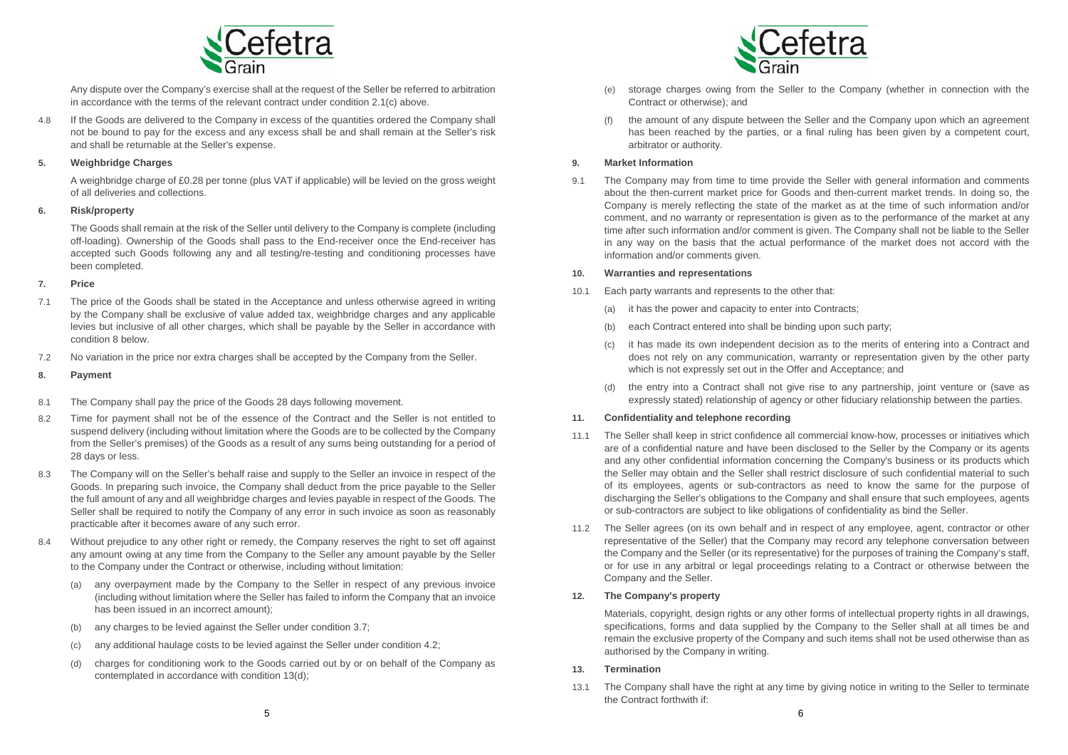

Any dispute over the Company's exercise shall at the request of the Seller be referred to arbitration in accordance with the terms of the relevant contract under condition 2.1(c) above.

4.8 If the Goods are delivered to the Company in excess of the quantities ordered the Company shall not be bound to pay for the excess and any excess shall be and shall remain at the Seller's risk and shall be returnable at the Seller's expense.

## **5. Weighbridge Charges**

A weighbridge charge of £0.28 per tonne (plus VAT if applicable) will be levied on the gross weight of all deliveries and collections.

## **6. Risk/property**

The Goods shall remain at the risk of the Seller until delivery to the Company is complete (including off-loading). Ownership of the Goods shall pass to the End-receiver once the End-receiver has accepted such Goods following any and all testing/re-testing and conditioning processes have been completed.

#### **7. Price**

- 7.1 The price of the Goods shall be stated in the Acceptance and unless otherwise agreed in writing by the Company shall be exclusive of value added tax, weighbridge charges and any applicable levies but inclusive of all other charges, which shall be payable by the Seller in accordance with condition 8 below.
- 7.2 No variation in the price nor extra charges shall be accepted by the Company from the Seller.

#### **8. Payment**

- 8.1 The Company shall pay the price of the Goods 28 days following movement.
- 8.2 Time for payment shall not be of the essence of the Contract and the Seller is not entitled to suspend delivery (including without limitation where the Goods are to be collected by the Company from the Seller's premises) of the Goods as a result of any sums being outstanding for a period of 28 days or less.
- 8.3 The Company will on the Seller's behalf raise and supply to the Seller an invoice in respect of the Goods. In preparing such invoice, the Company shall deduct from the price payable to the Seller the full amount of any and all weighbridge charges and levies payable in respect of the Goods. The Seller shall be required to notify the Company of any error in such invoice as soon as reasonably practicable after it becomes aware of any such error.
- 8.4 Without prejudice to any other right or remedy, the Company reserves the right to set off against any amount owing at any time from the Company to the Seller any amount payable by the Seller to the Company under the Contract or otherwise, including without limitation:
	- (a) any overpayment made by the Company to the Seller in respect of any previous invoice (including without limitation where the Seller has failed to inform the Company that an invoice has been issued in an incorrect amount);
	- (b) any charges to be levied against the Seller under condition 3.7;
	- (c) any additional haulage costs to be levied against the Seller under condition 4.2;
	- (d) charges for conditioning work to the Goods carried out by or on behalf of the Company as contemplated in accordance with condition 13(d);



- (e) storage charges owing from the Seller to the Company (whether in connection with the Contract or otherwise); and
- (f) the amount of any dispute between the Seller and the Company upon which an agreement has been reached by the parties, or a final ruling has been given by a competent court, arbitrator or authority.

## **9. Market Information**

9.1 The Company may from time to time provide the Seller with general information and comments about the then-current market price for Goods and then-current market trends. In doing so, the Company is merely reflecting the state of the market as at the time of such information and/or comment, and no warranty or representation is given as to the performance of the market at any time after such information and/or comment is given. The Company shall not be liable to the Seller in any way on the basis that the actual performance of the market does not accord with the information and/or comments given.

### **10. Warranties and representations**

- 10.1 Each party warrants and represents to the other that:
	- (a) it has the power and capacity to enter into Contracts;
	- (b) each Contract entered into shall be binding upon such party;
	- it has made its own independent decision as to the merits of entering into a Contract and does not rely on any communication, warranty or representation given by the other party which is not expressly set out in the Offer and Acceptance; and
	- (d) the entry into a Contract shall not give rise to any partnership, joint venture or (save as expressly stated) relationship of agency or other fiduciary relationship between the parties.

## **11. Confidentiality and telephone recording**

- 11.1 The Seller shall keep in strict confidence all commercial know-how, processes or initiatives which are of a confidential nature and have been disclosed to the Seller by the Company or its agents and any other confidential information concerning the Company's business or its products which the Seller may obtain and the Seller shall restrict disclosure of such confidential material to such of its employees, agents or sub-contractors as need to know the same for the purpose of discharging the Seller's obligations to the Company and shall ensure that such employees, agents or sub-contractors are subject to like obligations of confidentiality as bind the Seller.
- 11.2 The Seller agrees (on its own behalf and in respect of any employee, agent, contractor or other representative of the Seller) that the Company may record any telephone conversation between the Company and the Seller (or its representative) for the purposes of training the Company's staff, or for use in any arbitral or legal proceedings relating to a Contract or otherwise between the Company and the Seller.

## **12. The Company's property**

Materials, copyright, design rights or any other forms of intellectual property rights in all drawings, specifications, forms and data supplied by the Company to the Seller shall at all times be and remain the exclusive property of the Company and such items shall not be used otherwise than as authorised by the Company in writing.

## **13. Termination**

13.1 The Company shall have the right at any time by giving notice in writing to the Seller to terminate the Contract forthwith if: